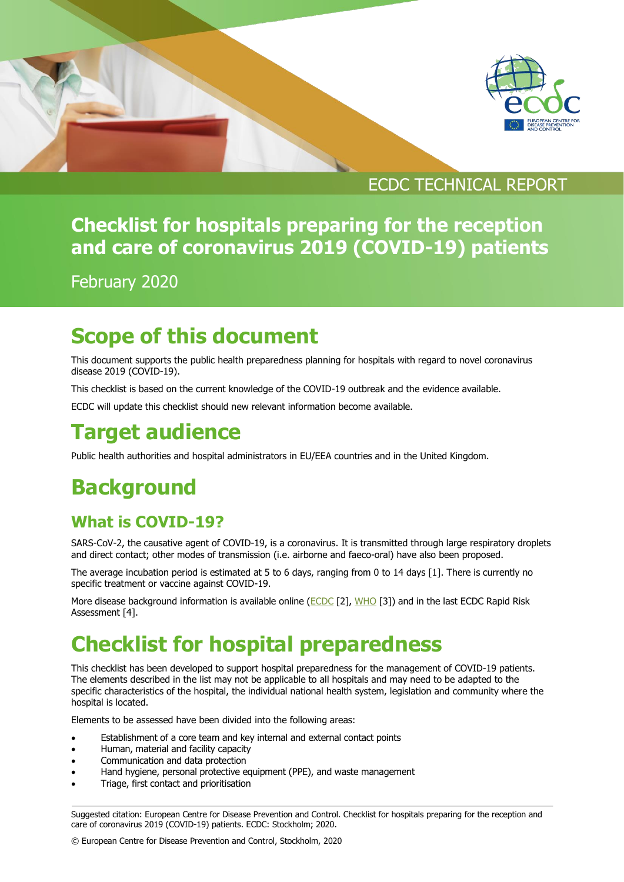

#### ECDC TECHNICAL REPORT

## **Checklist for hospitals preparing for the reception and care of coronavirus 2019 (COVID-19) patients**

February 2020

## **Scope of this document**

This document supports the public health preparedness planning for hospitals with regard to novel coronavirus disease 2019 (COVID-19).

This checklist is based on the current knowledge of the COVID-19 outbreak and the evidence available.

ECDC will update this checklist should new relevant information become available.

## **Target audience**

Public health authorities and hospital administrators in EU/EEA countries and in the United Kingdom.

# **Background**

#### **What is COVID-19?**

SARS-CoV-2, the causative agent of COVID-19, is a coronavirus. It is transmitted through large respiratory droplets and direct contact; other modes of transmission (i.e. airborne and faeco-oral) have also been proposed.

The average incubation period is estimated at 5 to 6 days, ranging from 0 to 14 days [1]. There is currently no specific treatment or vaccine against COVID-19.

More disease background information is available online [\(ECDC](https://www.ecdc.europa.eu/en/novel-coronavirus-china) [2], [WHO](https://www.who.int/emergencies/diseases/novel-coronavirus-2019) [3]) and in the last ECDC Rapid Risk Assessment [4].

# **Checklist for hospital preparedness**

This checklist has been developed to support hospital preparedness for the management of COVID-19 patients. The elements described in the list may not be applicable to all hospitals and may need to be adapted to the specific characteristics of the hospital, the individual national health system, legislation and community where the hospital is located.

Elements to be assessed have been divided into the following areas:

- Establishment of a core team and key internal and external contact points
- Human, material and facility capacity
- Communication and data protection
- Hand hygiene, personal protective equipment (PPE), and waste management
- Triage, first contact and prioritisation

Suggested citation: European Centre for Disease Prevention and Control. Checklist for hospitals preparing for the reception and care of coronavirus 2019 (COVID-19) patients. ECDC: Stockholm; 2020.

© European Centre for Disease Prevention and Control, Stockholm, 2020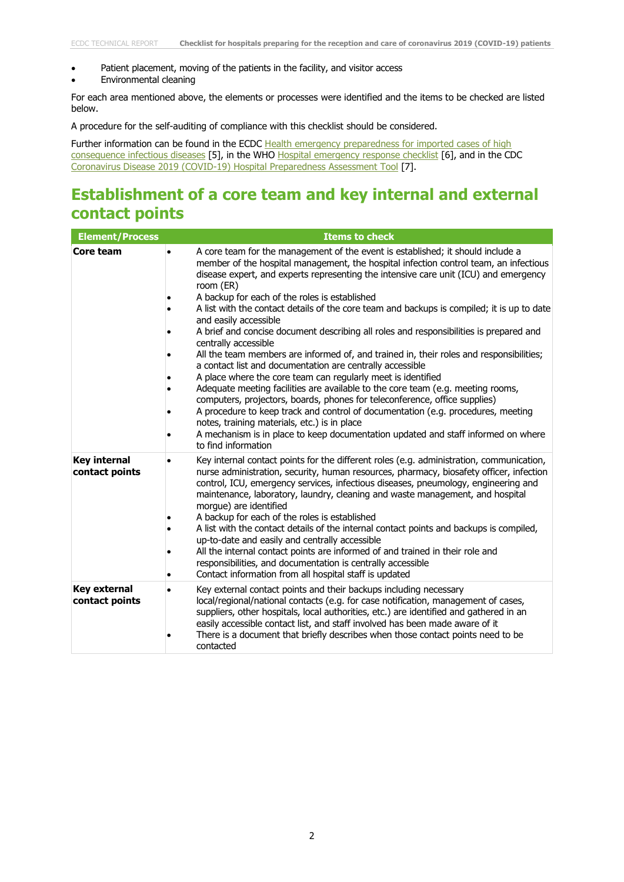- Patient placement, moving of the patients in the facility, and visitor access
- Environmental cleaning

For each area mentioned above, the elements or processes were identified and the items to be checked are listed below.

A procedure for the self-auditing of compliance with this checklist should be considered.

Further information can be found in the ECDC Health emergency preparedness for imported cases of high [consequence infectious diseases](https://www.ecdc.europa.eu/sites/default/files/documents/Health-emergency-preparedness-imported-cases-of-high-consequence-infectious-diseases.pdf) [5], in the WHO [Hospital emergency response checklist](http://www.euro.who.int/__data/assets/pdf_file/0020/148214/e95978.pdf?ua=1) [6], and in the CDC [Coronavirus Disease 2019 \(COVID-19\) Hospital Preparedness Assessment Tool](https://www.cdc.gov/coronavirus/2019-ncov/hcp/hcp-hospital-checklist.html) [7].

#### **Establishment of a core team and key internal and external contact points**

| <b>Element/Process</b>                | <b>Items to check</b>                                                                                                                                                                                                                                                                                                                                                                                                                                                                                                                                                                                                                                                                                                                                                                                                                                                                                                                                                                                                                                                                                                                                                                                            |
|---------------------------------------|------------------------------------------------------------------------------------------------------------------------------------------------------------------------------------------------------------------------------------------------------------------------------------------------------------------------------------------------------------------------------------------------------------------------------------------------------------------------------------------------------------------------------------------------------------------------------------------------------------------------------------------------------------------------------------------------------------------------------------------------------------------------------------------------------------------------------------------------------------------------------------------------------------------------------------------------------------------------------------------------------------------------------------------------------------------------------------------------------------------------------------------------------------------------------------------------------------------|
| Core team                             | A core team for the management of the event is established; it should include a<br>member of the hospital management, the hospital infection control team, an infectious<br>disease expert, and experts representing the intensive care unit (ICU) and emergency<br>room (ER)<br>A backup for each of the roles is established<br>A list with the contact details of the core team and backups is compiled; it is up to date<br>and easily accessible<br>A brief and concise document describing all roles and responsibilities is prepared and<br>centrally accessible<br>All the team members are informed of, and trained in, their roles and responsibilities;<br>a contact list and documentation are centrally accessible<br>A place where the core team can regularly meet is identified<br>Adequate meeting facilities are available to the core team (e.g. meeting rooms,<br>computers, projectors, boards, phones for teleconference, office supplies)<br>A procedure to keep track and control of documentation (e.g. procedures, meeting<br>notes, training materials, etc.) is in place<br>A mechanism is in place to keep documentation updated and staff informed on where<br>to find information |
| <b>Key internal</b><br>contact points | Key internal contact points for the different roles (e.g. administration, communication,<br>nurse administration, security, human resources, pharmacy, biosafety officer, infection<br>control, ICU, emergency services, infectious diseases, pneumology, engineering and<br>maintenance, laboratory, laundry, cleaning and waste management, and hospital<br>morgue) are identified<br>A backup for each of the roles is established<br>A list with the contact details of the internal contact points and backups is compiled,<br>up-to-date and easily and centrally accessible<br>All the internal contact points are informed of and trained in their role and<br>responsibilities, and documentation is centrally accessible<br>Contact information from all hospital staff is updated                                                                                                                                                                                                                                                                                                                                                                                                                     |
| <b>Key external</b><br>contact points | Key external contact points and their backups including necessary<br>local/regional/national contacts (e.g. for case notification, management of cases,<br>suppliers, other hospitals, local authorities, etc.) are identified and gathered in an<br>easily accessible contact list, and staff involved has been made aware of it<br>There is a document that briefly describes when those contact points need to be<br>contacted                                                                                                                                                                                                                                                                                                                                                                                                                                                                                                                                                                                                                                                                                                                                                                                |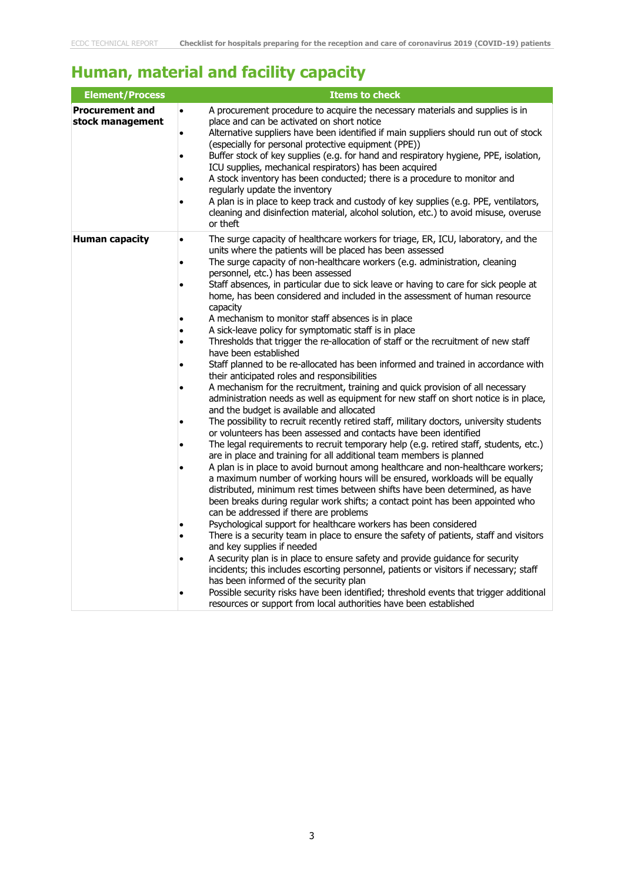### **Human, material and facility capacity**

| <b>Element/Process</b>                     | <b>Items to check</b>                                                                                                                                                                                                                                                                                                                                                                                                                                                                                                                                                                                                                                                                                                                                                                                                                                                                                                                                                                                                                                                                                                                                                                                                                                                                                                                                                                                                                                                                                                                                                                                                                                                                                                                                                                                                                                                                                                                                                                                                                                                                                                                                                                                                                                                                                                                                                                                                                |
|--------------------------------------------|--------------------------------------------------------------------------------------------------------------------------------------------------------------------------------------------------------------------------------------------------------------------------------------------------------------------------------------------------------------------------------------------------------------------------------------------------------------------------------------------------------------------------------------------------------------------------------------------------------------------------------------------------------------------------------------------------------------------------------------------------------------------------------------------------------------------------------------------------------------------------------------------------------------------------------------------------------------------------------------------------------------------------------------------------------------------------------------------------------------------------------------------------------------------------------------------------------------------------------------------------------------------------------------------------------------------------------------------------------------------------------------------------------------------------------------------------------------------------------------------------------------------------------------------------------------------------------------------------------------------------------------------------------------------------------------------------------------------------------------------------------------------------------------------------------------------------------------------------------------------------------------------------------------------------------------------------------------------------------------------------------------------------------------------------------------------------------------------------------------------------------------------------------------------------------------------------------------------------------------------------------------------------------------------------------------------------------------------------------------------------------------------------------------------------------------|
| <b>Procurement and</b><br>stock management | A procurement procedure to acquire the necessary materials and supplies is in<br>$\bullet$<br>place and can be activated on short notice<br>Alternative suppliers have been identified if main suppliers should run out of stock<br>$\bullet$<br>(especially for personal protective equipment (PPE))<br>Buffer stock of key supplies (e.g. for hand and respiratory hygiene, PPE, isolation,<br>$\bullet$<br>ICU supplies, mechanical respirators) has been acquired<br>A stock inventory has been conducted; there is a procedure to monitor and<br>٠<br>regularly update the inventory<br>A plan is in place to keep track and custody of key supplies (e.g. PPE, ventilators,<br>$\bullet$<br>cleaning and disinfection material, alcohol solution, etc.) to avoid misuse, overuse<br>or theft                                                                                                                                                                                                                                                                                                                                                                                                                                                                                                                                                                                                                                                                                                                                                                                                                                                                                                                                                                                                                                                                                                                                                                                                                                                                                                                                                                                                                                                                                                                                                                                                                                   |
| <b>Human capacity</b>                      | The surge capacity of healthcare workers for triage, ER, ICU, laboratory, and the<br>$\bullet$<br>units where the patients will be placed has been assessed<br>The surge capacity of non-healthcare workers (e.g. administration, cleaning<br>$\bullet$<br>personnel, etc.) has been assessed<br>Staff absences, in particular due to sick leave or having to care for sick people at<br>home, has been considered and included in the assessment of human resource<br>capacity<br>A mechanism to monitor staff absences is in place<br>A sick-leave policy for symptomatic staff is in place<br>Thresholds that trigger the re-allocation of staff or the recruitment of new staff<br>$\bullet$<br>have been established<br>Staff planned to be re-allocated has been informed and trained in accordance with<br>٠<br>their anticipated roles and responsibilities<br>A mechanism for the recruitment, training and quick provision of all necessary<br>$\bullet$<br>administration needs as well as equipment for new staff on short notice is in place,<br>and the budget is available and allocated<br>The possibility to recruit recently retired staff, military doctors, university students<br>$\bullet$<br>or volunteers has been assessed and contacts have been identified<br>The legal requirements to recruit temporary help (e.g. retired staff, students, etc.)<br>are in place and training for all additional team members is planned<br>A plan is in place to avoid burnout among healthcare and non-healthcare workers;<br>a maximum number of working hours will be ensured, workloads will be equally<br>distributed, minimum rest times between shifts have been determined, as have<br>been breaks during regular work shifts; a contact point has been appointed who<br>can be addressed if there are problems<br>Psychological support for healthcare workers has been considered<br>$\bullet$<br>There is a security team in place to ensure the safety of patients, staff and visitors<br>and key supplies if needed<br>A security plan is in place to ensure safety and provide guidance for security<br>incidents; this includes escorting personnel, patients or visitors if necessary; staff<br>has been informed of the security plan<br>Possible security risks have been identified; threshold events that trigger additional<br>resources or support from local authorities have been established |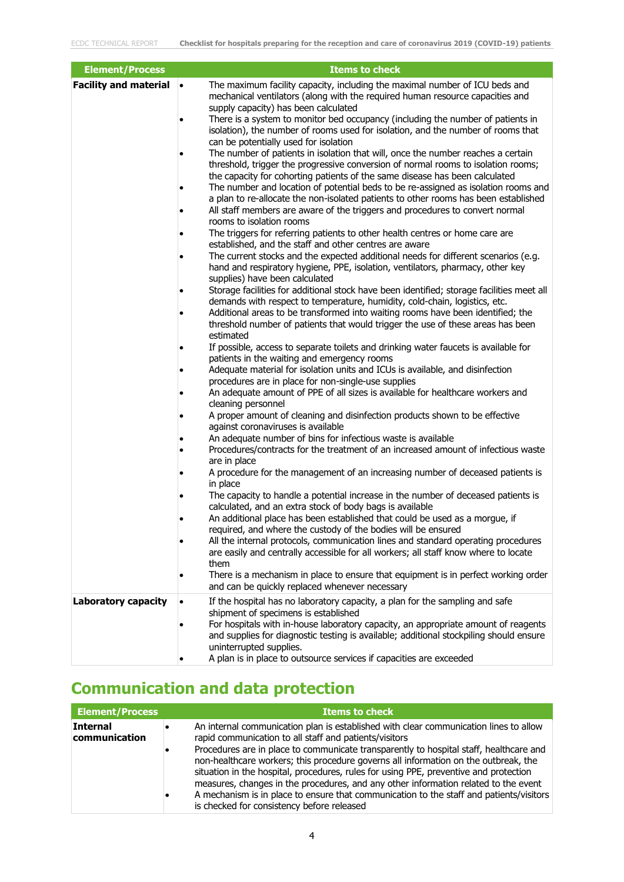| <b>Element/Process</b>       | <b>Items to check</b>                                                                                                                                                                                                                                                                                                                                                                                                                                                                                                                                                                                                                                                                                                                                                                                                                                                                                                                                                                                                                                                                                                                                                                                                                                                                                                                                                                                                                                                                                                                                                                                                                                                                                                                                                                                                                                                                                                                                                                                                                                                                                                                                                                                                                                                                                                                                                                                                                                                                                                                                                                                                                                                                                                                                                                                                                                                                                                                                                                                                                                         |
|------------------------------|---------------------------------------------------------------------------------------------------------------------------------------------------------------------------------------------------------------------------------------------------------------------------------------------------------------------------------------------------------------------------------------------------------------------------------------------------------------------------------------------------------------------------------------------------------------------------------------------------------------------------------------------------------------------------------------------------------------------------------------------------------------------------------------------------------------------------------------------------------------------------------------------------------------------------------------------------------------------------------------------------------------------------------------------------------------------------------------------------------------------------------------------------------------------------------------------------------------------------------------------------------------------------------------------------------------------------------------------------------------------------------------------------------------------------------------------------------------------------------------------------------------------------------------------------------------------------------------------------------------------------------------------------------------------------------------------------------------------------------------------------------------------------------------------------------------------------------------------------------------------------------------------------------------------------------------------------------------------------------------------------------------------------------------------------------------------------------------------------------------------------------------------------------------------------------------------------------------------------------------------------------------------------------------------------------------------------------------------------------------------------------------------------------------------------------------------------------------------------------------------------------------------------------------------------------------------------------------------------------------------------------------------------------------------------------------------------------------------------------------------------------------------------------------------------------------------------------------------------------------------------------------------------------------------------------------------------------------------------------------------------------------------------------------------------------------|
| <b>Facility and material</b> | The maximum facility capacity, including the maximal number of ICU beds and<br>$\bullet$<br>mechanical ventilators (along with the required human resource capacities and<br>supply capacity) has been calculated<br>There is a system to monitor bed occupancy (including the number of patients in<br>isolation), the number of rooms used for isolation, and the number of rooms that<br>can be potentially used for isolation<br>The number of patients in isolation that will, once the number reaches a certain<br>threshold, trigger the progressive conversion of normal rooms to isolation rooms;<br>the capacity for cohorting patients of the same disease has been calculated<br>The number and location of potential beds to be re-assigned as isolation rooms and<br>a plan to re-allocate the non-isolated patients to other rooms has been established<br>All staff members are aware of the triggers and procedures to convert normal<br>rooms to isolation rooms<br>The triggers for referring patients to other health centres or home care are<br>established, and the staff and other centres are aware<br>The current stocks and the expected additional needs for different scenarios (e.g.<br>hand and respiratory hygiene, PPE, isolation, ventilators, pharmacy, other key<br>supplies) have been calculated<br>Storage facilities for additional stock have been identified; storage facilities meet all<br>demands with respect to temperature, humidity, cold-chain, logistics, etc.<br>Additional areas to be transformed into waiting rooms have been identified; the<br>threshold number of patients that would trigger the use of these areas has been<br>estimated<br>If possible, access to separate toilets and drinking water faucets is available for<br>patients in the waiting and emergency rooms<br>Adequate material for isolation units and ICUs is available, and disinfection<br>procedures are in place for non-single-use supplies<br>An adequate amount of PPE of all sizes is available for healthcare workers and<br>cleaning personnel<br>A proper amount of cleaning and disinfection products shown to be effective<br>against coronaviruses is available<br>An adequate number of bins for infectious waste is available<br>Procedures/contracts for the treatment of an increased amount of infectious waste<br>are in place<br>A procedure for the management of an increasing number of deceased patients is<br>in place<br>The capacity to handle a potential increase in the number of deceased patients is<br>calculated, and an extra stock of body bags is available<br>An additional place has been established that could be used as a morgue, if<br>required, and where the custody of the bodies will be ensured<br>All the internal protocols, communication lines and standard operating procedures<br>are easily and centrally accessible for all workers; all staff know where to locate<br>them<br>There is a mechanism in place to ensure that equipment is in perfect working order |
| <b>Laboratory capacity</b>   | and can be quickly replaced whenever necessary<br>If the hospital has no laboratory capacity, a plan for the sampling and safe<br>$\bullet$                                                                                                                                                                                                                                                                                                                                                                                                                                                                                                                                                                                                                                                                                                                                                                                                                                                                                                                                                                                                                                                                                                                                                                                                                                                                                                                                                                                                                                                                                                                                                                                                                                                                                                                                                                                                                                                                                                                                                                                                                                                                                                                                                                                                                                                                                                                                                                                                                                                                                                                                                                                                                                                                                                                                                                                                                                                                                                                   |
|                              | shipment of specimens is established<br>For hospitals with in-house laboratory capacity, an appropriate amount of reagents<br>and supplies for diagnostic testing is available; additional stockpiling should ensure<br>uninterrupted supplies.<br>A plan is in place to outsource services if capacities are exceeded                                                                                                                                                                                                                                                                                                                                                                                                                                                                                                                                                                                                                                                                                                                                                                                                                                                                                                                                                                                                                                                                                                                                                                                                                                                                                                                                                                                                                                                                                                                                                                                                                                                                                                                                                                                                                                                                                                                                                                                                                                                                                                                                                                                                                                                                                                                                                                                                                                                                                                                                                                                                                                                                                                                                        |

### **Communication and data protection**

| <b>Element/Process</b>           | Items to check                                                                                                                                                                                                                                                                                                                                                                                                                                                                                                                                                                                                                                            |
|----------------------------------|-----------------------------------------------------------------------------------------------------------------------------------------------------------------------------------------------------------------------------------------------------------------------------------------------------------------------------------------------------------------------------------------------------------------------------------------------------------------------------------------------------------------------------------------------------------------------------------------------------------------------------------------------------------|
| <b>Internal</b><br>communication | An internal communication plan is established with clear communication lines to allow<br>rapid communication to all staff and patients/visitors<br>Procedures are in place to communicate transparently to hospital staff, healthcare and<br>non-healthcare workers; this procedure governs all information on the outbreak, the<br>situation in the hospital, procedures, rules for using PPE, preventive and protection<br>measures, changes in the procedures, and any other information related to the event<br>A mechanism is in place to ensure that communication to the staff and patients/visitors<br>is checked for consistency before released |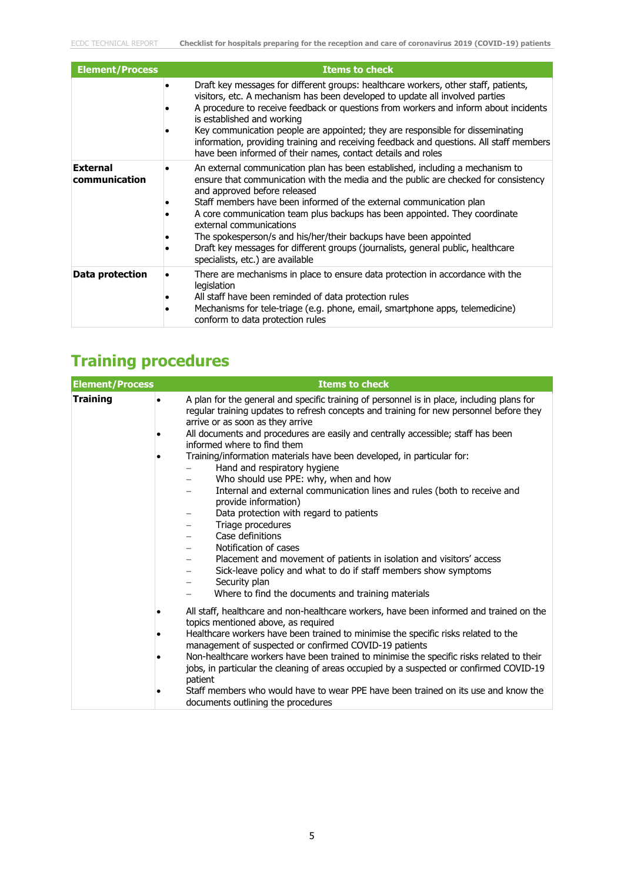| <b>Element/Process</b>           | <b>Items to check</b>                                                                                                                                                                                                                                                                                                                                                                                                                                                                                                                                                            |
|----------------------------------|----------------------------------------------------------------------------------------------------------------------------------------------------------------------------------------------------------------------------------------------------------------------------------------------------------------------------------------------------------------------------------------------------------------------------------------------------------------------------------------------------------------------------------------------------------------------------------|
|                                  | Draft key messages for different groups: healthcare workers, other staff, patients,<br>visitors, etc. A mechanism has been developed to update all involved parties<br>A procedure to receive feedback or questions from workers and inform about incidents<br>is established and working<br>Key communication people are appointed; they are responsible for disseminating<br>information, providing training and receiving feedback and questions. All staff members<br>have been informed of their names, contact details and roles                                           |
| <b>External</b><br>communication | An external communication plan has been established, including a mechanism to<br>ensure that communication with the media and the public are checked for consistency<br>and approved before released<br>Staff members have been informed of the external communication plan<br>A core communication team plus backups has been appointed. They coordinate<br>external communications<br>The spokesperson/s and his/her/their backups have been appointed<br>Draft key messages for different groups (journalists, general public, healthcare<br>specialists, etc.) are available |
| Data protection                  | There are mechanisms in place to ensure data protection in accordance with the<br>legislation<br>All staff have been reminded of data protection rules<br>Mechanisms for tele-triage (e.g. phone, email, smartphone apps, telemedicine)<br>conform to data protection rules                                                                                                                                                                                                                                                                                                      |

# **Training procedures**

| <b>Element/Process</b> | <b>Items to check</b>                                                                                                                                                                                                                                                                                                                                                                                                                                                                                                                                                                                                  |
|------------------------|------------------------------------------------------------------------------------------------------------------------------------------------------------------------------------------------------------------------------------------------------------------------------------------------------------------------------------------------------------------------------------------------------------------------------------------------------------------------------------------------------------------------------------------------------------------------------------------------------------------------|
| <b>Training</b>        | A plan for the general and specific training of personnel is in place, including plans for<br>$\bullet$<br>regular training updates to refresh concepts and training for new personnel before they<br>arrive or as soon as they arrive                                                                                                                                                                                                                                                                                                                                                                                 |
|                        | All documents and procedures are easily and centrally accessible; staff has been<br>٠<br>informed where to find them                                                                                                                                                                                                                                                                                                                                                                                                                                                                                                   |
|                        | Training/information materials have been developed, in particular for:<br>$\bullet$<br>Hand and respiratory hygiene<br>Who should use PPE: why, when and how<br>Internal and external communication lines and rules (both to receive and<br>provide information)<br>Data protection with regard to patients<br>Triage procedures<br>Case definitions<br>Notification of cases<br>Placement and movement of patients in isolation and visitors' access<br>Sick-leave policy and what to do if staff members show symptoms<br>Security plan<br>-<br>Where to find the documents and training materials                   |
|                        | All staff, healthcare and non-healthcare workers, have been informed and trained on the<br>٠<br>topics mentioned above, as required<br>Healthcare workers have been trained to minimise the specific risks related to the<br>management of suspected or confirmed COVID-19 patients<br>Non-healthcare workers have been trained to minimise the specific risks related to their<br>jobs, in particular the cleaning of areas occupied by a suspected or confirmed COVID-19<br>patient<br>Staff members who would have to wear PPE have been trained on its use and know the<br>٠<br>documents outlining the procedures |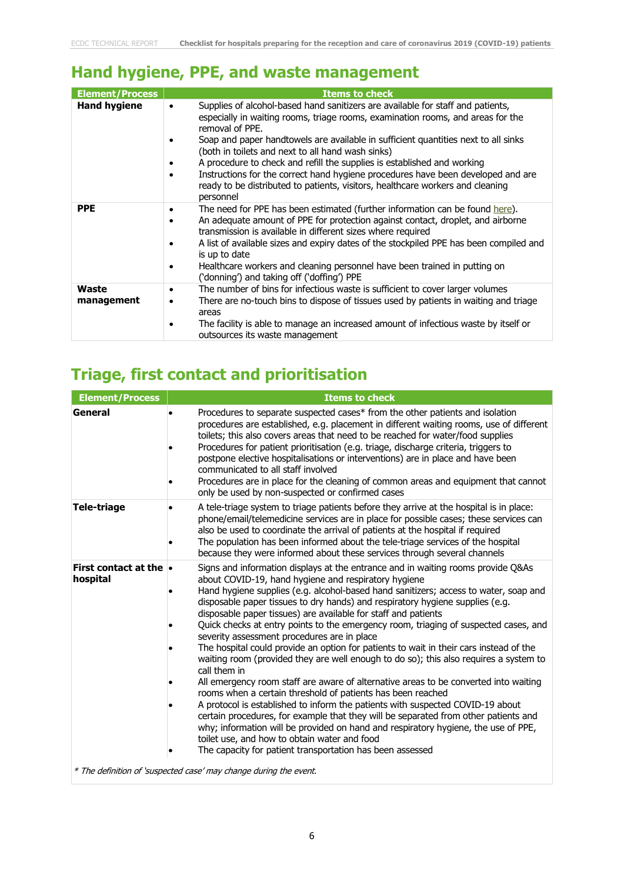#### **Hand hygiene, PPE, and waste management**

| <b>Element/Process</b> | <b>Items to check</b>                                                                                                                                                                                                                                                                                                                                                                                                                                                                                                                                                                                       |
|------------------------|-------------------------------------------------------------------------------------------------------------------------------------------------------------------------------------------------------------------------------------------------------------------------------------------------------------------------------------------------------------------------------------------------------------------------------------------------------------------------------------------------------------------------------------------------------------------------------------------------------------|
| <b>Hand hygiene</b>    | Supplies of alcohol-based hand sanitizers are available for staff and patients,<br>$\bullet$<br>especially in waiting rooms, triage rooms, examination rooms, and areas for the<br>removal of PPE.<br>Soap and paper handtowels are available in sufficient quantities next to all sinks<br>(both in toilets and next to all hand wash sinks)<br>A procedure to check and refill the supplies is established and working<br>Instructions for the correct hand hygiene procedures have been developed and are<br>ready to be distributed to patients, visitors, healthcare workers and cleaning<br>personnel |
| <b>PPE</b>             | The need for PPE has been estimated (further information can be found here).<br>An adequate amount of PPE for protection against contact, droplet, and airborne<br>transmission is available in different sizes where required<br>A list of available sizes and expiry dates of the stockpiled PPE has been compiled and<br>is up to date<br>Healthcare workers and cleaning personnel have been trained in putting on<br>٠<br>('donning') and taking off ('doffing') PPE                                                                                                                                   |
| Waste<br>management    | The number of bins for infectious waste is sufficient to cover larger volumes<br>٠<br>There are no-touch bins to dispose of tissues used by patients in waiting and triage<br>٠<br>areas<br>The facility is able to manage an increased amount of infectious waste by itself or<br>outsources its waste management                                                                                                                                                                                                                                                                                          |

### **Triage, first contact and prioritisation**

| <b>Element/Process</b>                    | <b>Items to check</b>                                                                                                                                                                                                                                                                                                                                                                                                                                                                                                                                                                                                                                                                                                                                                                                                                                                                                                                                                                                                                                                                                                                                                                                                                                                 |
|-------------------------------------------|-----------------------------------------------------------------------------------------------------------------------------------------------------------------------------------------------------------------------------------------------------------------------------------------------------------------------------------------------------------------------------------------------------------------------------------------------------------------------------------------------------------------------------------------------------------------------------------------------------------------------------------------------------------------------------------------------------------------------------------------------------------------------------------------------------------------------------------------------------------------------------------------------------------------------------------------------------------------------------------------------------------------------------------------------------------------------------------------------------------------------------------------------------------------------------------------------------------------------------------------------------------------------|
| General                                   | Procedures to separate suspected cases* from the other patients and isolation<br>$\bullet$<br>procedures are established, e.g. placement in different waiting rooms, use of different<br>toilets; this also covers areas that need to be reached for water/food supplies<br>Procedures for patient prioritisation (e.g. triage, discharge criteria, triggers to<br>postpone elective hospitalisations or interventions) are in place and have been<br>communicated to all staff involved<br>Procedures are in place for the cleaning of common areas and equipment that cannot<br>only be used by non-suspected or confirmed cases                                                                                                                                                                                                                                                                                                                                                                                                                                                                                                                                                                                                                                    |
| Tele-triage                               | A tele-triage system to triage patients before they arrive at the hospital is in place:<br>$\bullet$<br>phone/email/telemedicine services are in place for possible cases; these services can<br>also be used to coordinate the arrival of patients at the hospital if required<br>The population has been informed about the tele-triage services of the hospital<br>because they were informed about these services through several channels                                                                                                                                                                                                                                                                                                                                                                                                                                                                                                                                                                                                                                                                                                                                                                                                                        |
| <b>First contact at the •</b><br>hospital | Signs and information displays at the entrance and in waiting rooms provide Q&As<br>about COVID-19, hand hygiene and respiratory hygiene<br>Hand hygiene supplies (e.g. alcohol-based hand sanitizers; access to water, soap and<br>٠<br>disposable paper tissues to dry hands) and respiratory hygiene supplies (e.g.<br>disposable paper tissues) are available for staff and patients<br>Quick checks at entry points to the emergency room, triaging of suspected cases, and<br>severity assessment procedures are in place<br>The hospital could provide an option for patients to wait in their cars instead of the<br>waiting room (provided they are well enough to do so); this also requires a system to<br>call them in<br>All emergency room staff are aware of alternative areas to be converted into waiting<br>rooms when a certain threshold of patients has been reached<br>A protocol is established to inform the patients with suspected COVID-19 about<br>certain procedures, for example that they will be separated from other patients and<br>why; information will be provided on hand and respiratory hygiene, the use of PPE,<br>toilet use, and how to obtain water and food<br>The capacity for patient transportation has been assessed |

\* The definition of 'suspected case' may change during the event.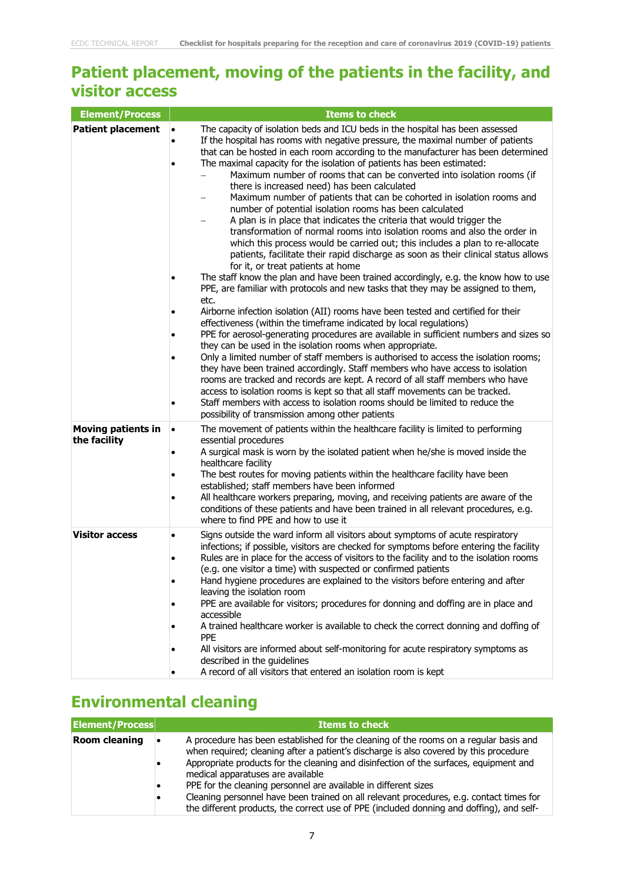### **Patient placement, moving of the patients in the facility, and visitor access**

| <b>Element/Process</b>                    | <b>Items to check</b>                                                                                                                                                                                                                                                                                                                                                                                                                                                                                                                                                                                                                                                                                                                                                                                                                                                                                                                                                                                                                                                                                                                                                                                                                                                                                                                                                                                                                                                                                                                                                                                                                                                                                                                                                                                                                                                                                                                                   |
|-------------------------------------------|---------------------------------------------------------------------------------------------------------------------------------------------------------------------------------------------------------------------------------------------------------------------------------------------------------------------------------------------------------------------------------------------------------------------------------------------------------------------------------------------------------------------------------------------------------------------------------------------------------------------------------------------------------------------------------------------------------------------------------------------------------------------------------------------------------------------------------------------------------------------------------------------------------------------------------------------------------------------------------------------------------------------------------------------------------------------------------------------------------------------------------------------------------------------------------------------------------------------------------------------------------------------------------------------------------------------------------------------------------------------------------------------------------------------------------------------------------------------------------------------------------------------------------------------------------------------------------------------------------------------------------------------------------------------------------------------------------------------------------------------------------------------------------------------------------------------------------------------------------------------------------------------------------------------------------------------------------|
| <b>Patient placement</b>                  | The capacity of isolation beds and ICU beds in the hospital has been assessed<br>If the hospital has rooms with negative pressure, the maximal number of patients<br>that can be hosted in each room according to the manufacturer has been determined<br>The maximal capacity for the isolation of patients has been estimated:<br>Maximum number of rooms that can be converted into isolation rooms (if<br>there is increased need) has been calculated<br>Maximum number of patients that can be cohorted in isolation rooms and<br>number of potential isolation rooms has been calculated<br>A plan is in place that indicates the criteria that would trigger the<br>transformation of normal rooms into isolation rooms and also the order in<br>which this process would be carried out; this includes a plan to re-allocate<br>patients, facilitate their rapid discharge as soon as their clinical status allows<br>for it, or treat patients at home<br>The staff know the plan and have been trained accordingly, e.g. the know how to use<br>PPE, are familiar with protocols and new tasks that they may be assigned to them,<br>etc.<br>Airborne infection isolation (AII) rooms have been tested and certified for their<br>effectiveness (within the timeframe indicated by local regulations)<br>PPE for aerosol-generating procedures are available in sufficient numbers and sizes so<br>they can be used in the isolation rooms when appropriate.<br>Only a limited number of staff members is authorised to access the isolation rooms;<br>they have been trained accordingly. Staff members who have access to isolation<br>rooms are tracked and records are kept. A record of all staff members who have<br>access to isolation rooms is kept so that all staff movements can be tracked.<br>Staff members with access to isolation rooms should be limited to reduce the<br>possibility of transmission among other patients |
| <b>Moving patients in</b><br>the facility | The movement of patients within the healthcare facility is limited to performing<br>essential procedures<br>A surgical mask is worn by the isolated patient when he/she is moved inside the<br>healthcare facility<br>The best routes for moving patients within the healthcare facility have been<br>established; staff members have been informed<br>All healthcare workers preparing, moving, and receiving patients are aware of the<br>conditions of these patients and have been trained in all relevant procedures, e.g.<br>where to find PPE and how to use it                                                                                                                                                                                                                                                                                                                                                                                                                                                                                                                                                                                                                                                                                                                                                                                                                                                                                                                                                                                                                                                                                                                                                                                                                                                                                                                                                                                  |
| <b>Visitor access</b>                     | Signs outside the ward inform all visitors about symptoms of acute respiratory<br>infections; if possible, visitors are checked for symptoms before entering the facility<br>Rules are in place for the access of visitors to the facility and to the isolation rooms<br>(e.g. one visitor a time) with suspected or confirmed patients<br>Hand hygiene procedures are explained to the visitors before entering and after<br>leaving the isolation room<br>PPE are available for visitors; procedures for donning and doffing are in place and<br>accessible<br>A trained healthcare worker is available to check the correct donning and doffing of<br><b>PPE</b><br>All visitors are informed about self-monitoring for acute respiratory symptoms as<br>described in the guidelines<br>A record of all visitors that entered an isolation room is kept                                                                                                                                                                                                                                                                                                                                                                                                                                                                                                                                                                                                                                                                                                                                                                                                                                                                                                                                                                                                                                                                                              |

### **Environmental cleaning**

| <b>Element/Process</b> | <b>Items to check</b>                                                                                                                                                                                                                                                                                        |
|------------------------|--------------------------------------------------------------------------------------------------------------------------------------------------------------------------------------------------------------------------------------------------------------------------------------------------------------|
| <b>Room cleaning</b>   | A procedure has been established for the cleaning of the rooms on a regular basis and<br>when required; cleaning after a patient's discharge is also covered by this procedure<br>Appropriate products for the cleaning and disinfection of the surfaces, equipment and<br>medical apparatuses are available |
|                        | PPE for the cleaning personnel are available in different sizes<br>Cleaning personnel have been trained on all relevant procedures, e.g. contact times for                                                                                                                                                   |
|                        | the different products, the correct use of PPE (included donning and doffing), and self-                                                                                                                                                                                                                     |